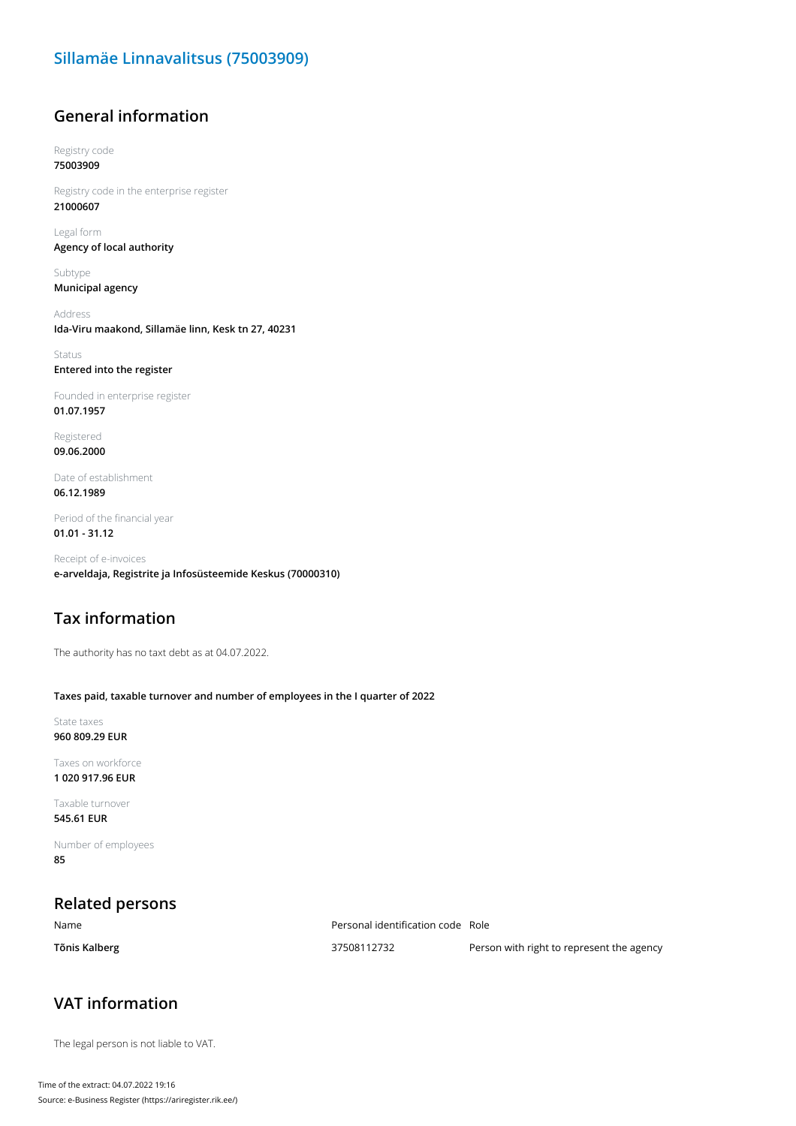#### **Sillamäe Linnavalitsus (75003909)**

#### **General information**

Registry code **75003909**

Registry code in the enterprise register **21000607**

Legal form **Agency of local authority**

Subtype **Municipal agency**

Address **Ida-Viru maakond, Sillamäe linn, Kesk tn 27, 40231**

Status **Entered into the register**

Founded in enterprise register **01.07.1957**

Registered **09.06.2000**

Date of establishment **06.12.1989**

Period of the financial year **01.01 - 31.12**

Receipt of e-invoices **e-arveldaja, Registrite ja Infosüsteemide Keskus (70000310)**

#### **Tax information**

The authority has no taxt debt as at 04.07.2022.

#### **Taxes paid, taxable turnover and number of employees in the I quarter of 2022**

State taxes **960 809.29 EUR**

Taxes on workforce **1 020 917.96 EUR**

Taxable turnover **545.61 EUR**

Number of employees **85**

## **Related persons**

Name Personal identification code Role

**Tõnis Kalberg 10.1 aproximation 127508112732** Person with right to represent the agency

## **VAT information**

The legal person is not liable to VAT.